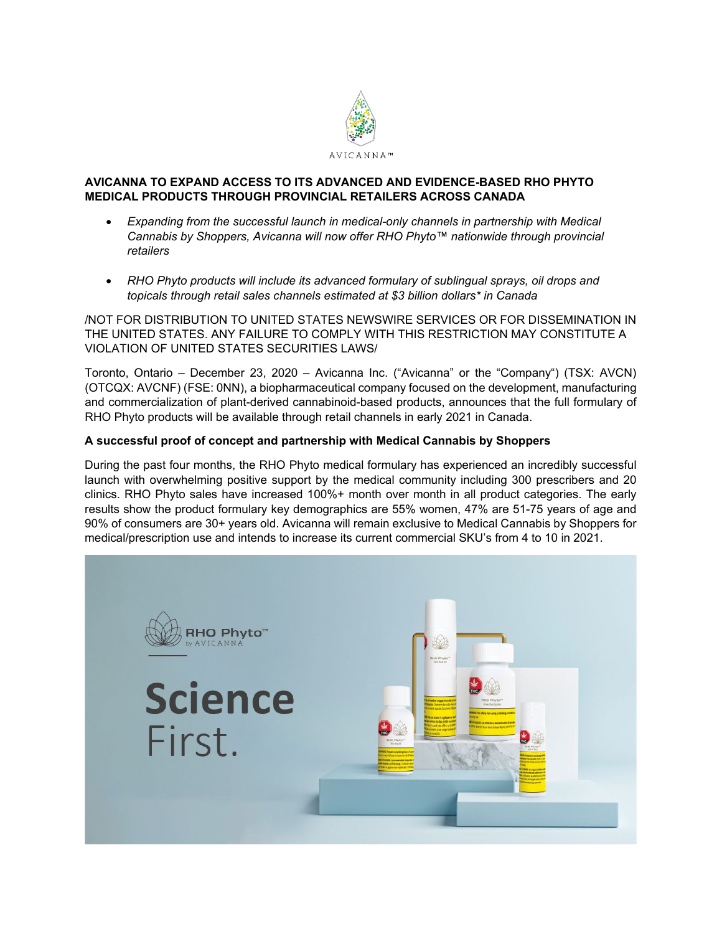

# **AVICANNA TO EXPAND ACCESS TO ITS ADVANCED AND EVIDENCE-BASED RHO PHYTO MEDICAL PRODUCTS THROUGH PROVINCIAL RETAILERS ACROSS CANADA**

- *Expanding from the successful launch in medical-only channels in partnership with Medical Cannabis by Shoppers, Avicanna will now offer RHO Phyto™ nationwide through provincial retailers*
- *RHO Phyto products will include its advanced formulary of sublingual sprays, oil drops and topicals through retail sales channels estimated at \$3 billion dollars\* in Canada*

/NOT FOR DISTRIBUTION TO UNITED STATES NEWSWIRE SERVICES OR FOR DISSEMINATION IN THE UNITED STATES. ANY FAILURE TO COMPLY WITH THIS RESTRICTION MAY CONSTITUTE A VIOLATION OF UNITED STATES SECURITIES LAWS/

Toronto, Ontario – December 23, 2020 – Avicanna Inc. ("Avicanna" or the "Company") (TSX: AVCN) (OTCQX: AVCNF) (FSE: 0NN), a biopharmaceutical company focused on the development, manufacturing and commercialization of plant-derived cannabinoid-based products, announces that the full formulary of RHO Phyto products will be available through retail channels in early 2021 in Canada.

# **A successful proof of concept and partnership with Medical Cannabis by Shoppers**

During the past four months, the RHO Phyto medical formulary has experienced an incredibly successful launch with overwhelming positive support by the medical community including 300 prescribers and 20 clinics. RHO Phyto sales have increased 100%+ month over month in all product categories. The early results show the product formulary key demographics are 55% women, 47% are 51-75 years of age and 90% of consumers are 30+ years old. Avicanna will remain exclusive to Medical Cannabis by Shoppers for medical/prescription use and intends to increase its current commercial SKU's from 4 to 10 in 2021.

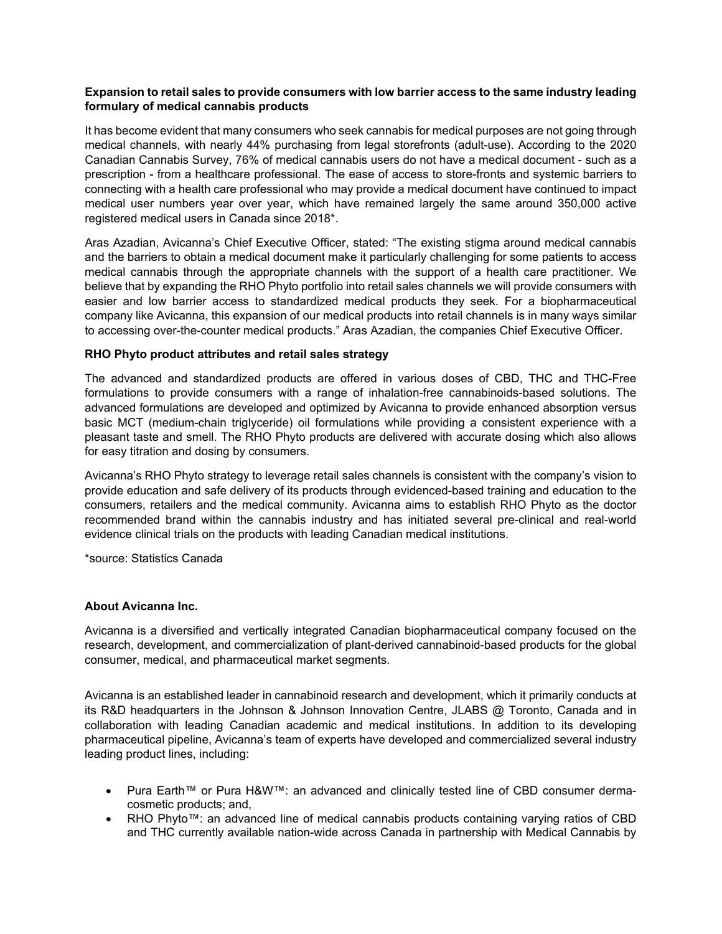# **Expansion to retail sales to provide consumers with low barrier access to the same industry leading formulary of medical cannabis products**

It has become evident that many consumers who seek cannabis for medical purposes are not going through medical channels, with nearly 44% purchasing from legal storefronts (adult-use). According to the 2020 Canadian Cannabis Survey, 76% of medical cannabis users do not have a medical document - such as a prescription - from a healthcare professional. The ease of access to store-fronts and systemic barriers to connecting with a health care professional who may provide a medical document have continued to impact medical user numbers year over year, which have remained largely the same around 350,000 active registered medical users in Canada since 2018\*.

Aras Azadian, Avicanna's Chief Executive Officer, stated: "The existing stigma around medical cannabis and the barriers to obtain a medical document make it particularly challenging for some patients to access medical cannabis through the appropriate channels with the support of a health care practitioner. We believe that by expanding the RHO Phyto portfolio into retail sales channels we will provide consumers with easier and low barrier access to standardized medical products they seek. For a biopharmaceutical company like Avicanna, this expansion of our medical products into retail channels is in many ways similar to accessing over-the-counter medical products." Aras Azadian, the companies Chief Executive Officer.

# **RHO Phyto product attributes and retail sales strategy**

The advanced and standardized products are offered in various doses of CBD, THC and THC-Free formulations to provide consumers with a range of inhalation-free cannabinoids-based solutions. The advanced formulations are developed and optimized by Avicanna to provide enhanced absorption versus basic MCT (medium-chain triglyceride) oil formulations while providing a consistent experience with a pleasant taste and smell. The RHO Phyto products are delivered with accurate dosing which also allows for easy titration and dosing by consumers.

Avicanna's RHO Phyto strategy to leverage retail sales channels is consistent with the company's vision to provide education and safe delivery of its products through evidenced-based training and education to the consumers, retailers and the medical community. Avicanna aims to establish RHO Phyto as the doctor recommended brand within the cannabis industry and has initiated several pre-clinical and real-world evidence clinical trials on the products with leading Canadian medical institutions.

\*source: Statistics Canada

#### **About Avicanna Inc.**

Avicanna is a diversified and vertically integrated Canadian biopharmaceutical company focused on the research, development, and commercialization of plant-derived cannabinoid-based products for the global consumer, medical, and pharmaceutical market segments.

Avicanna is an established leader in cannabinoid research and development, which it primarily conducts at its R&D headquarters in the Johnson & Johnson Innovation Centre, JLABS @ Toronto, Canada and in collaboration with leading Canadian academic and medical institutions. In addition to its developing pharmaceutical pipeline, Avicanna's team of experts have developed and commercialized several industry leading product lines, including:

- Pura Earth™ or Pura H&W™: an advanced and clinically tested line of CBD consumer dermacosmetic products; and,
- RHO Phyto™: an advanced line of medical cannabis products containing varying ratios of CBD and THC currently available nation-wide across Canada in partnership with Medical Cannabis by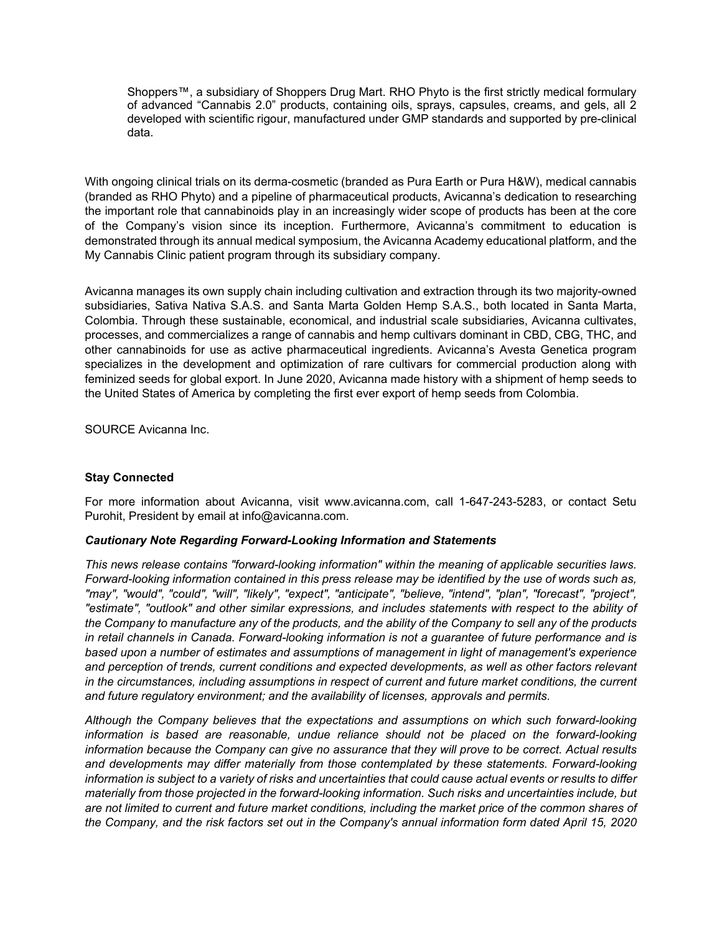Shoppers™, a subsidiary of Shoppers Drug Mart. RHO Phyto is the first strictly medical formulary of advanced "Cannabis 2.0" products, containing oils, sprays, capsules, creams, and gels, all 2 developed with scientific rigour, manufactured under GMP standards and supported by pre-clinical data.

With ongoing clinical trials on its derma-cosmetic (branded as Pura Earth or Pura H&W), medical cannabis (branded as RHO Phyto) and a pipeline of pharmaceutical products, Avicanna's dedication to researching the important role that cannabinoids play in an increasingly wider scope of products has been at the core of the Company's vision since its inception. Furthermore, Avicanna's commitment to education is demonstrated through its annual medical symposium, the Avicanna Academy educational platform, and the My Cannabis Clinic patient program through its subsidiary company.

Avicanna manages its own supply chain including cultivation and extraction through its two majority-owned subsidiaries, Sativa Nativa S.A.S. and Santa Marta Golden Hemp S.A.S., both located in Santa Marta, Colombia. Through these sustainable, economical, and industrial scale subsidiaries, Avicanna cultivates, processes, and commercializes a range of cannabis and hemp cultivars dominant in CBD, CBG, THC, and other cannabinoids for use as active pharmaceutical ingredients. Avicanna's Avesta Genetica program specializes in the development and optimization of rare cultivars for commercial production along with feminized seeds for global export. In June 2020, Avicanna made history with a shipment of hemp seeds to the United States of America by completing the first ever export of hemp seeds from Colombia.

SOURCE Avicanna Inc.

# **Stay Connected**

For more information about Avicanna, visit www.avicanna.com, call 1-647-243-5283, or contact Setu Purohit, President by email at info@avicanna.com.

#### *Cautionary Note Regarding Forward-Looking Information and Statements*

*This news release contains "forward-looking information" within the meaning of applicable securities laws. Forward-looking information contained in this press release may be identified by the use of words such as, "may", "would", "could", "will", "likely", "expect", "anticipate", "believe, "intend", "plan", "forecast", "project", "estimate", "outlook" and other similar expressions, and includes statements with respect to the ability of the Company to manufacture any of the products, and the ability of the Company to sell any of the products in retail channels in Canada. Forward-looking information is not a guarantee of future performance and is based upon a number of estimates and assumptions of management in light of management's experience and perception of trends, current conditions and expected developments, as well as other factors relevant in the circumstances, including assumptions in respect of current and future market conditions, the current and future regulatory environment; and the availability of licenses, approvals and permits.*

*Although the Company believes that the expectations and assumptions on which such forward-looking information is based are reasonable, undue reliance should not be placed on the forward-looking information because the Company can give no assurance that they will prove to be correct. Actual results and developments may differ materially from those contemplated by these statements. Forward-looking information is subject to a variety of risks and uncertainties that could cause actual events or results to differ materially from those projected in the forward-looking information. Such risks and uncertainties include, but are not limited to current and future market conditions, including the market price of the common shares of the Company, and the risk factors set out in the Company's annual information form dated April 15, 2020*